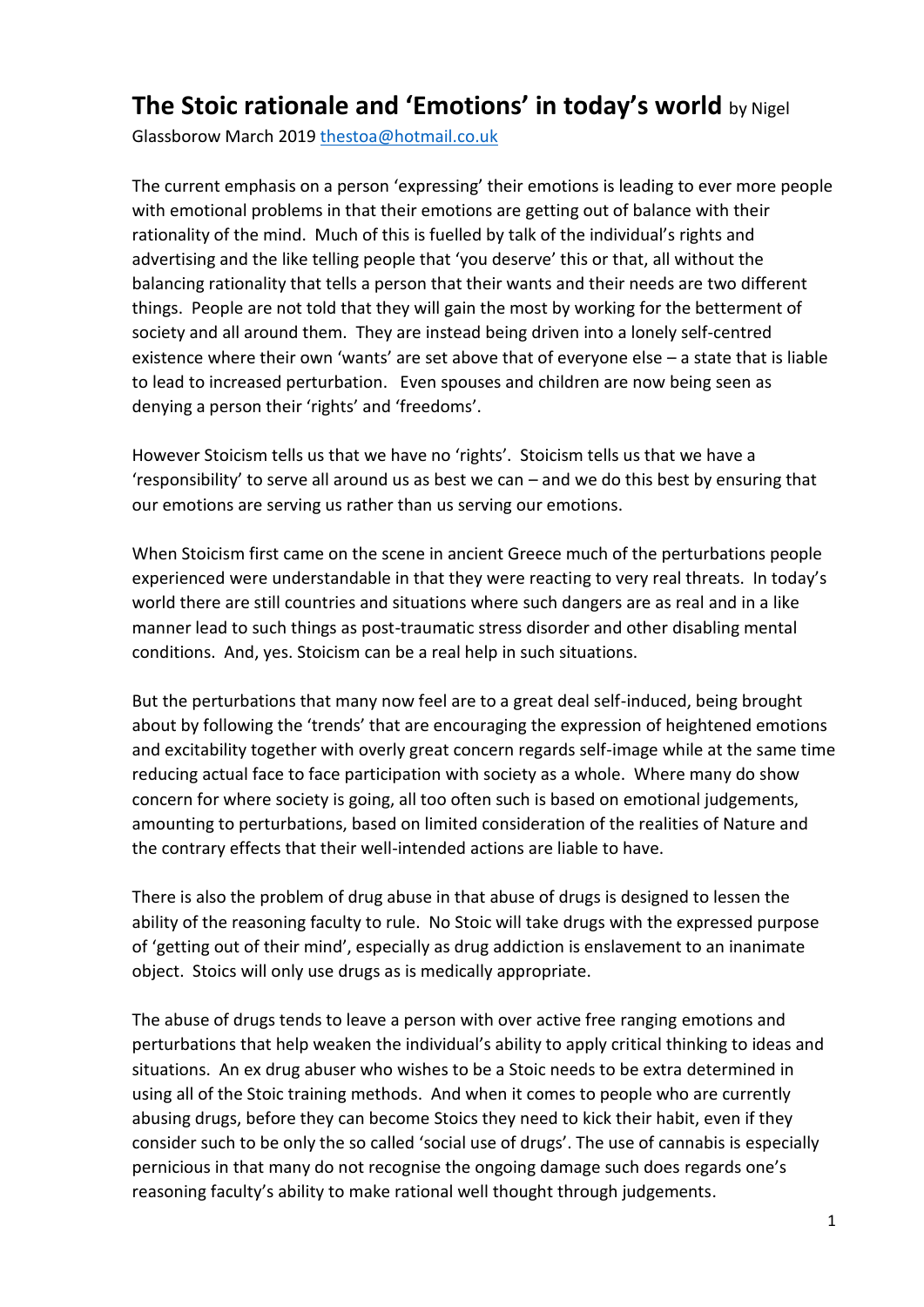## **The Stoic rationale and 'Emotions' in today's world** by Nigel

Glassborow March 2019 [thestoa@hotmail.co.uk](mailto:thestoa@hotmail.co.uk) 

The current emphasis on a person 'expressing' their emotions is leading to ever more people with emotional problems in that their emotions are getting out of balance with their rationality of the mind. Much of this is fuelled by talk of the individual's rights and advertising and the like telling people that 'you deserve' this or that, all without the balancing rationality that tells a person that their wants and their needs are two different things. People are not told that they will gain the most by working for the betterment of society and all around them. They are instead being driven into a lonely self-centred existence where their own 'wants' are set above that of everyone else – a state that is liable to lead to increased perturbation. Even spouses and children are now being seen as denying a person their 'rights' and 'freedoms'.

However Stoicism tells us that we have no 'rights'. Stoicism tells us that we have a 'responsibility' to serve all around us as best we can – and we do this best by ensuring that our emotions are serving us rather than us serving our emotions.

When Stoicism first came on the scene in ancient Greece much of the perturbations people experienced were understandable in that they were reacting to very real threats. In today's world there are still countries and situations where such dangers are as real and in a like manner lead to such things as post-traumatic stress disorder and other disabling mental conditions. And, yes. Stoicism can be a real help in such situations.

But the perturbations that many now feel are to a great deal self-induced, being brought about by following the 'trends' that are encouraging the expression of heightened emotions and excitability together with overly great concern regards self-image while at the same time reducing actual face to face participation with society as a whole. Where many do show concern for where society is going, all too often such is based on emotional judgements, amounting to perturbations, based on limited consideration of the realities of Nature and the contrary effects that their well-intended actions are liable to have.

There is also the problem of drug abuse in that abuse of drugs is designed to lessen the ability of the reasoning faculty to rule. No Stoic will take drugs with the expressed purpose of 'getting out of their mind', especially as drug addiction is enslavement to an inanimate object. Stoics will only use drugs as is medically appropriate.

The abuse of drugs tends to leave a person with over active free ranging emotions and perturbations that help weaken the individual's ability to apply critical thinking to ideas and situations. An ex drug abuser who wishes to be a Stoic needs to be extra determined in using all of the Stoic training methods. And when it comes to people who are currently abusing drugs, before they can become Stoics they need to kick their habit, even if they consider such to be only the so called 'social use of drugs'. The use of cannabis is especially pernicious in that many do not recognise the ongoing damage such does regards one's reasoning faculty's ability to make rational well thought through judgements.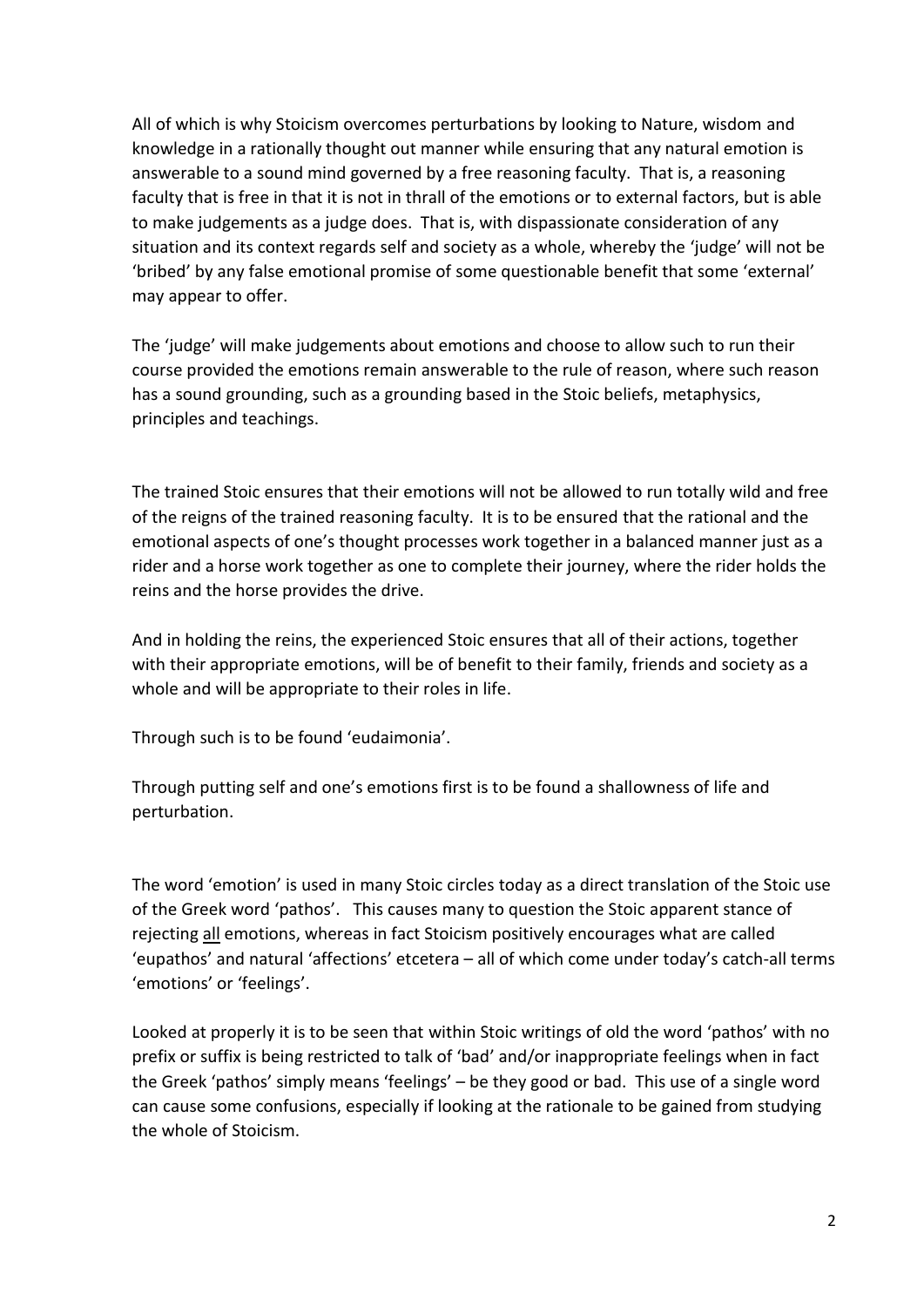All of which is why Stoicism overcomes perturbations by looking to Nature, wisdom and knowledge in a rationally thought out manner while ensuring that any natural emotion is answerable to a sound mind governed by a free reasoning faculty. That is, a reasoning faculty that is free in that it is not in thrall of the emotions or to external factors, but is able to make judgements as a judge does. That is, with dispassionate consideration of any situation and its context regards self and society as a whole, whereby the 'judge' will not be 'bribed' by any false emotional promise of some questionable benefit that some 'external' may appear to offer.

The 'judge' will make judgements about emotions and choose to allow such to run their course provided the emotions remain answerable to the rule of reason, where such reason has a sound grounding, such as a grounding based in the Stoic beliefs, metaphysics, principles and teachings.

The trained Stoic ensures that their emotions will not be allowed to run totally wild and free of the reigns of the trained reasoning faculty. It is to be ensured that the rational and the emotional aspects of one's thought processes work together in a balanced manner just as a rider and a horse work together as one to complete their journey, where the rider holds the reins and the horse provides the drive.

And in holding the reins, the experienced Stoic ensures that all of their actions, together with their appropriate emotions, will be of benefit to their family, friends and society as a whole and will be appropriate to their roles in life.

Through such is to be found 'eudaimonia'.

Through putting self and one's emotions first is to be found a shallowness of life and perturbation.

The word 'emotion' is used in many Stoic circles today as a direct translation of the Stoic use of the Greek word 'pathos'. This causes many to question the Stoic apparent stance of rejecting all emotions, whereas in fact Stoicism positively encourages what are called 'eupathos' and natural 'affections' etcetera – all of which come under today's catch-all terms 'emotions' or 'feelings'.

Looked at properly it is to be seen that within Stoic writings of old the word 'pathos' with no prefix or suffix is being restricted to talk of 'bad' and/or inappropriate feelings when in fact the Greek 'pathos' simply means 'feelings' – be they good or bad. This use of a single word can cause some confusions, especially if looking at the rationale to be gained from studying the whole of Stoicism.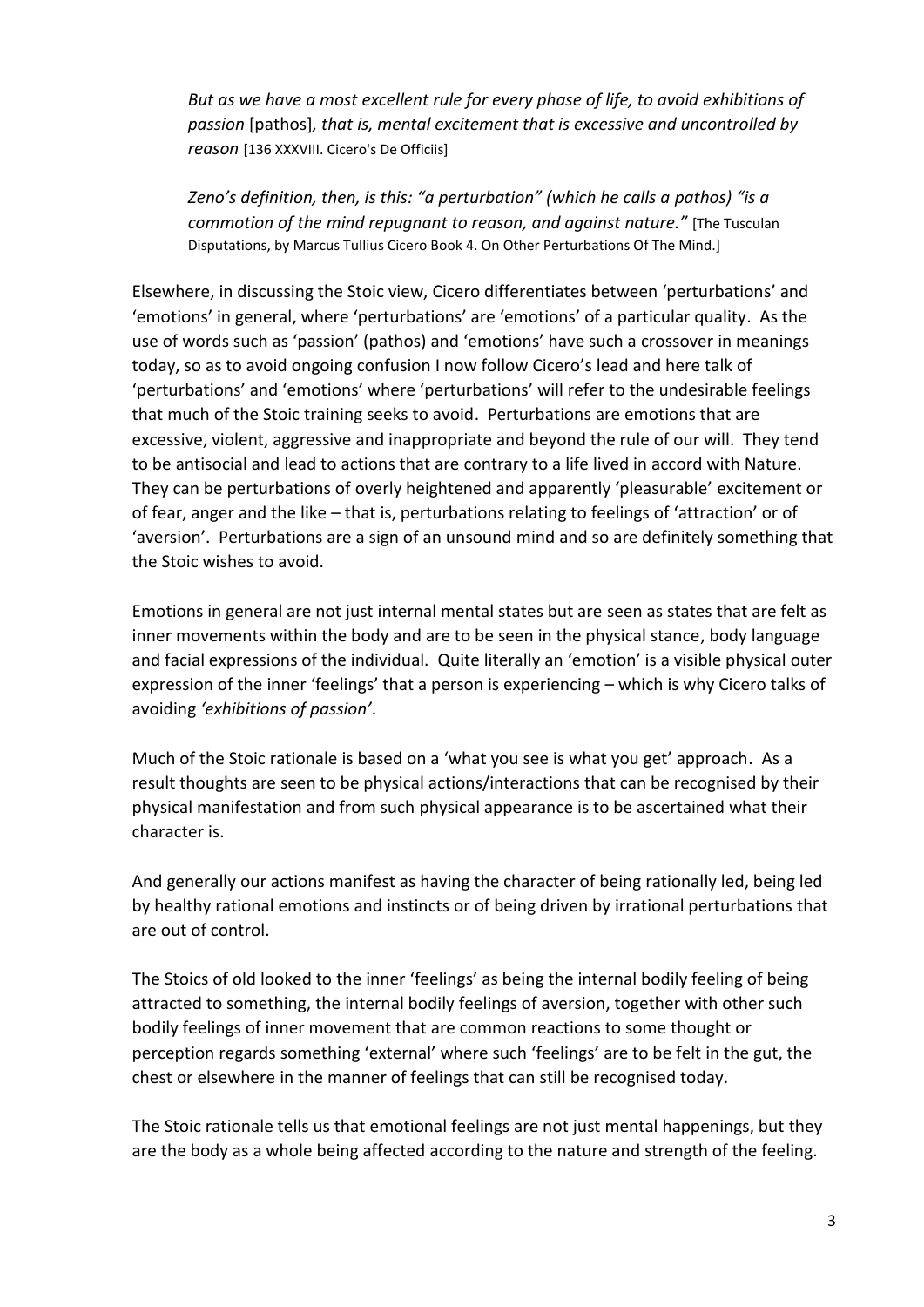*But as we have a most excellent rule for every phase of life, to avoid exhibitions of passion* [pathos]*, that is, mental excitement that is excessive and uncontrolled by reason* [136 XXXVIII. Cicero's De Officiis]

*Zeno's definition, then, is this: "a perturbation" (which he calls a pathos) "is a commotion of the mind repugnant to reason, and against nature."* [The Tusculan Disputations, by Marcus Tullius Cicero Book 4. On Other Perturbations Of The Mind.]

Elsewhere, in discussing the Stoic view, Cicero differentiates between 'perturbations' and 'emotions' in general, where 'perturbations' are 'emotions' of a particular quality. As the use of words such as 'passion' (pathos) and 'emotions' have such a crossover in meanings today, so as to avoid ongoing confusion I now follow Cicero's lead and here talk of 'perturbations' and 'emotions' where 'perturbations' will refer to the undesirable feelings that much of the Stoic training seeks to avoid. Perturbations are emotions that are excessive, violent, aggressive and inappropriate and beyond the rule of our will. They tend to be antisocial and lead to actions that are contrary to a life lived in accord with Nature. They can be perturbations of overly heightened and apparently 'pleasurable' excitement or of fear, anger and the like – that is, perturbations relating to feelings of 'attraction' or of 'aversion'. Perturbations are a sign of an unsound mind and so are definitely something that the Stoic wishes to avoid.

Emotions in general are not just internal mental states but are seen as states that are felt as inner movements within the body and are to be seen in the physical stance, body language and facial expressions of the individual. Quite literally an 'emotion' is a visible physical outer expression of the inner 'feelings' that a person is experiencing – which is why Cicero talks of avoiding *'exhibitions of passion'*.

Much of the Stoic rationale is based on a 'what you see is what you get' approach. As a result thoughts are seen to be physical actions/interactions that can be recognised by their physical manifestation and from such physical appearance is to be ascertained what their character is.

And generally our actions manifest as having the character of being rationally led, being led by healthy rational emotions and instincts or of being driven by irrational perturbations that are out of control.

The Stoics of old looked to the inner 'feelings' as being the internal bodily feeling of being attracted to something, the internal bodily feelings of aversion, together with other such bodily feelings of inner movement that are common reactions to some thought or perception regards something 'external' where such 'feelings' are to be felt in the gut, the chest or elsewhere in the manner of feelings that can still be recognised today.

The Stoic rationale tells us that emotional feelings are not just mental happenings, but they are the body as a whole being affected according to the nature and strength of the feeling.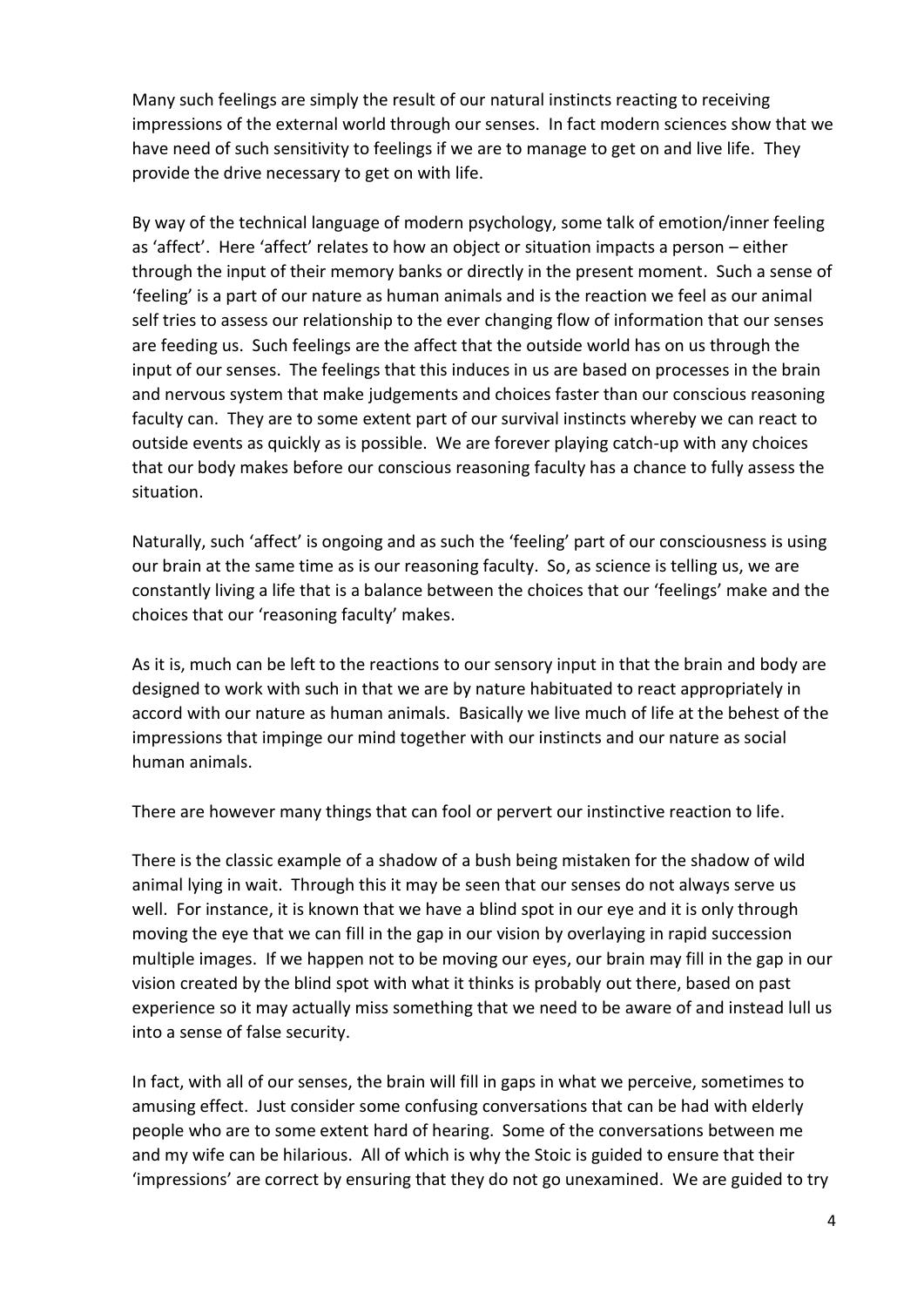Many such feelings are simply the result of our natural instincts reacting to receiving impressions of the external world through our senses. In fact modern sciences show that we have need of such sensitivity to feelings if we are to manage to get on and live life. They provide the drive necessary to get on with life.

By way of the technical language of modern psychology, some talk of emotion/inner feeling as 'affect'. Here 'affect' relates to how an object or situation impacts a person – either through the input of their memory banks or directly in the present moment. Such a sense of 'feeling' is a part of our nature as human animals and is the reaction we feel as our animal self tries to assess our relationship to the ever changing flow of information that our senses are feeding us. Such feelings are the affect that the outside world has on us through the input of our senses. The feelings that this induces in us are based on processes in the brain and nervous system that make judgements and choices faster than our conscious reasoning faculty can. They are to some extent part of our survival instincts whereby we can react to outside events as quickly as is possible. We are forever playing catch-up with any choices that our body makes before our conscious reasoning faculty has a chance to fully assess the situation.

Naturally, such 'affect' is ongoing and as such the 'feeling' part of our consciousness is using our brain at the same time as is our reasoning faculty. So, as science is telling us, we are constantly living a life that is a balance between the choices that our 'feelings' make and the choices that our 'reasoning faculty' makes.

As it is, much can be left to the reactions to our sensory input in that the brain and body are designed to work with such in that we are by nature habituated to react appropriately in accord with our nature as human animals. Basically we live much of life at the behest of the impressions that impinge our mind together with our instincts and our nature as social human animals.

There are however many things that can fool or pervert our instinctive reaction to life.

There is the classic example of a shadow of a bush being mistaken for the shadow of wild animal lying in wait. Through this it may be seen that our senses do not always serve us well. For instance, it is known that we have a blind spot in our eye and it is only through moving the eye that we can fill in the gap in our vision by overlaying in rapid succession multiple images. If we happen not to be moving our eyes, our brain may fill in the gap in our vision created by the blind spot with what it thinks is probably out there, based on past experience so it may actually miss something that we need to be aware of and instead lull us into a sense of false security.

In fact, with all of our senses, the brain will fill in gaps in what we perceive, sometimes to amusing effect. Just consider some confusing conversations that can be had with elderly people who are to some extent hard of hearing. Some of the conversations between me and my wife can be hilarious. All of which is why the Stoic is guided to ensure that their 'impressions' are correct by ensuring that they do not go unexamined. We are guided to try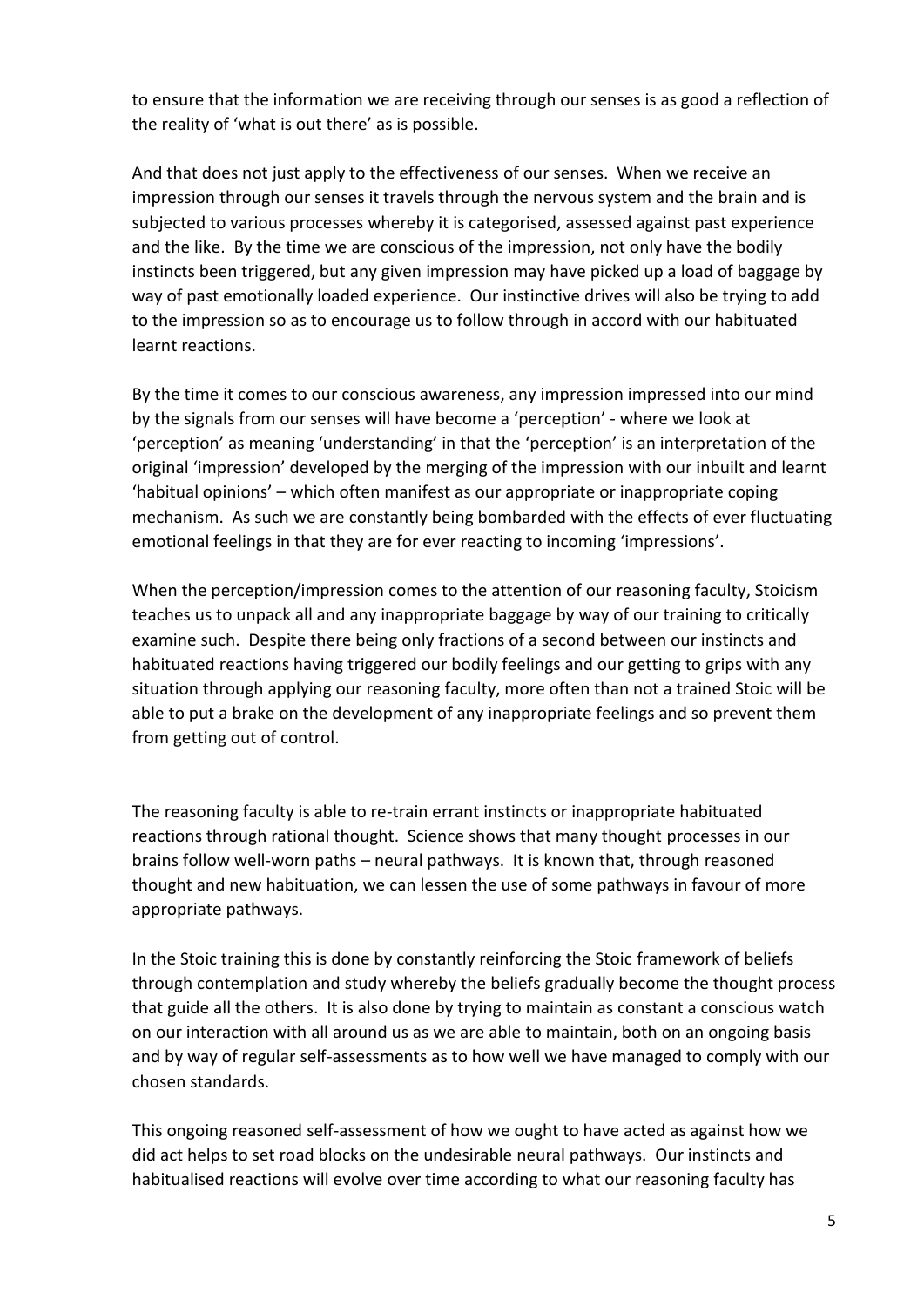to ensure that the information we are receiving through our senses is as good a reflection of the reality of 'what is out there' as is possible.

And that does not just apply to the effectiveness of our senses. When we receive an impression through our senses it travels through the nervous system and the brain and is subjected to various processes whereby it is categorised, assessed against past experience and the like. By the time we are conscious of the impression, not only have the bodily instincts been triggered, but any given impression may have picked up a load of baggage by way of past emotionally loaded experience. Our instinctive drives will also be trying to add to the impression so as to encourage us to follow through in accord with our habituated learnt reactions.

By the time it comes to our conscious awareness, any impression impressed into our mind by the signals from our senses will have become a 'perception' - where we look at 'perception' as meaning 'understanding' in that the 'perception' is an interpretation of the original 'impression' developed by the merging of the impression with our inbuilt and learnt 'habitual opinions' – which often manifest as our appropriate or inappropriate coping mechanism. As such we are constantly being bombarded with the effects of ever fluctuating emotional feelings in that they are for ever reacting to incoming 'impressions'.

When the perception/impression comes to the attention of our reasoning faculty, Stoicism teaches us to unpack all and any inappropriate baggage by way of our training to critically examine such. Despite there being only fractions of a second between our instincts and habituated reactions having triggered our bodily feelings and our getting to grips with any situation through applying our reasoning faculty, more often than not a trained Stoic will be able to put a brake on the development of any inappropriate feelings and so prevent them from getting out of control.

The reasoning faculty is able to re-train errant instincts or inappropriate habituated reactions through rational thought. Science shows that many thought processes in our brains follow well-worn paths – neural pathways. It is known that, through reasoned thought and new habituation, we can lessen the use of some pathways in favour of more appropriate pathways.

In the Stoic training this is done by constantly reinforcing the Stoic framework of beliefs through contemplation and study whereby the beliefs gradually become the thought process that guide all the others. It is also done by trying to maintain as constant a conscious watch on our interaction with all around us as we are able to maintain, both on an ongoing basis and by way of regular self-assessments as to how well we have managed to comply with our chosen standards.

This ongoing reasoned self-assessment of how we ought to have acted as against how we did act helps to set road blocks on the undesirable neural pathways. Our instincts and habitualised reactions will evolve over time according to what our reasoning faculty has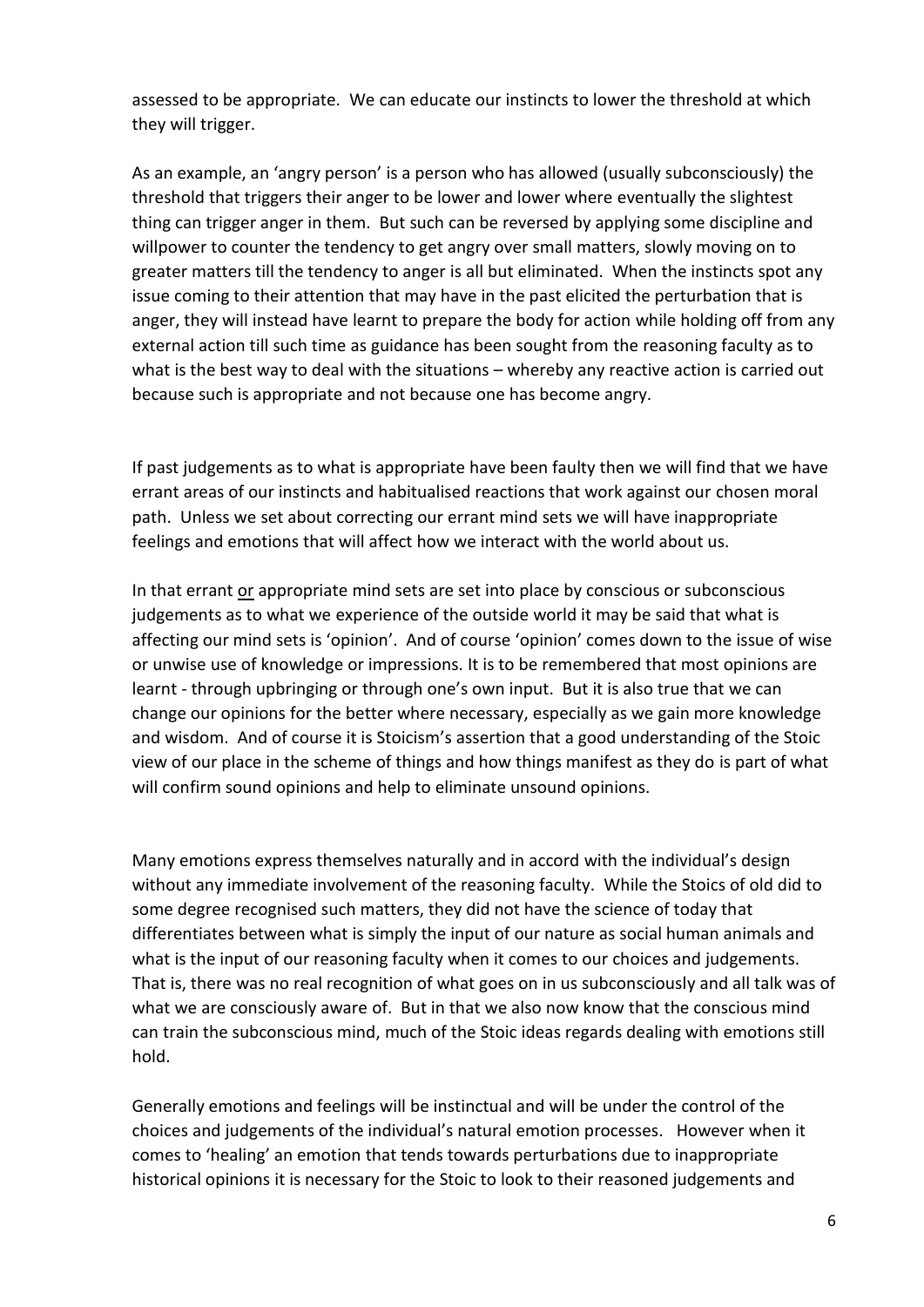assessed to be appropriate. We can educate our instincts to lower the threshold at which they will trigger.

As an example, an 'angry person' is a person who has allowed (usually subconsciously) the threshold that triggers their anger to be lower and lower where eventually the slightest thing can trigger anger in them. But such can be reversed by applying some discipline and willpower to counter the tendency to get angry over small matters, slowly moving on to greater matters till the tendency to anger is all but eliminated. When the instincts spot any issue coming to their attention that may have in the past elicited the perturbation that is anger, they will instead have learnt to prepare the body for action while holding off from any external action till such time as guidance has been sought from the reasoning faculty as to what is the best way to deal with the situations – whereby any reactive action is carried out because such is appropriate and not because one has become angry.

If past judgements as to what is appropriate have been faulty then we will find that we have errant areas of our instincts and habitualised reactions that work against our chosen moral path. Unless we set about correcting our errant mind sets we will have inappropriate feelings and emotions that will affect how we interact with the world about us.

In that errant or appropriate mind sets are set into place by conscious or subconscious judgements as to what we experience of the outside world it may be said that what is affecting our mind sets is 'opinion'. And of course 'opinion' comes down to the issue of wise or unwise use of knowledge or impressions. It is to be remembered that most opinions are learnt - through upbringing or through one's own input. But it is also true that we can change our opinions for the better where necessary, especially as we gain more knowledge and wisdom. And of course it is Stoicism's assertion that a good understanding of the Stoic view of our place in the scheme of things and how things manifest as they do is part of what will confirm sound opinions and help to eliminate unsound opinions.

Many emotions express themselves naturally and in accord with the individual's design without any immediate involvement of the reasoning faculty. While the Stoics of old did to some degree recognised such matters, they did not have the science of today that differentiates between what is simply the input of our nature as social human animals and what is the input of our reasoning faculty when it comes to our choices and judgements. That is, there was no real recognition of what goes on in us subconsciously and all talk was of what we are consciously aware of. But in that we also now know that the conscious mind can train the subconscious mind, much of the Stoic ideas regards dealing with emotions still hold.

Generally emotions and feelings will be instinctual and will be under the control of the choices and judgements of the individual's natural emotion processes. However when it comes to 'healing' an emotion that tends towards perturbations due to inappropriate historical opinions it is necessary for the Stoic to look to their reasoned judgements and